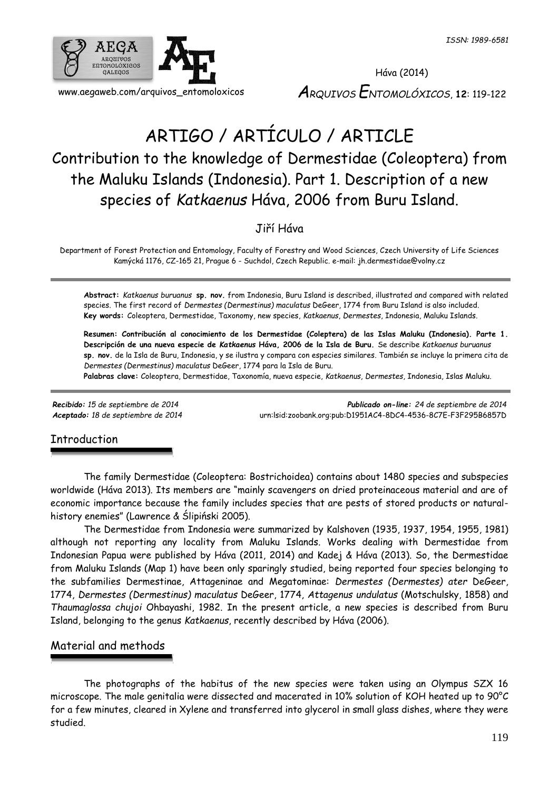

# ARTIGO / ARTÍCULO / ARTICLE Contribution to the knowledge of Dermestidae (Coleoptera) from the Maluku Islands (Indonesia). Part 1. Description of a new species of *Katkaenus* Háva, 2006 from Buru Island.

Jiří Háva

Department of Forest Protection and Entomology, Faculty of Forestry and Wood Sciences, Czech University of Life Sciences Kamýcká 1176, CZ-165 21, Prague 6 - Suchdol, Czech Republic. e-mail: jh.dermestidae@volny.cz

**Abstract:** *Katkaenus buruanus* **sp. nov.** from Indonesia, Buru Island is described, illustrated and compared with related species. The first record of *Dermestes (Dermestinus) maculatus* DeGeer, 1774 from Buru Island is also included. **Key words:** Coleoptera, Dermestidae, Taxonomy, new species, *Katkaenus*, *Dermestes*, Indonesia, Maluku Islands.

**Resumen: Contribución al conocimiento de los Dermestidae (Coleptera) de las Islas Maluku (Indonesia). Parte 1. Descripción de una nueva especie de** *Katkaenus* **Háva, 2006 de la Isla de Buru.** Se describe *Katkaenus buruanus* **sp. nov.** de la Isla de Buru, Indonesia, y se ilustra y compara con especies similares. También se incluye la primera cita de *Dermestes (Dermestinus) maculatus* DeGeer, 1774 para la Isla de Buru.

**Palabras clave:** Coleoptera, Dermestidae, Taxonomía, nueva especie, *Katkaenus*, *Dermestes*, Indonesia, Islas Maluku.

*Recibido: 15 de septiembre de 2014 Publicado on-line: 24 de septiembre de 2014 Aceptado: 18 de septiembre de 2014* [urn:lsid:zoobank.org:pub:D1951AC4-8DC4-4536-8C7E-F3F295B6857D](http://www.zoobank.org/urn:lsid:zoobank.org:pub:D1951AC4-8DC4-4536-8C7E-F3F295B6857D)

## **Introduction**

The family Dermestidae (Coleoptera: Bostrichoidea) contains about 1480 species and subspecies worldwide (Háva 2013). Its members are "mainly scavengers on dried proteinaceous material and are of economic importance because the family includes species that are pests of stored products or naturalhistory enemies" (Lawrence & Ślipiński 2005).

The Dermestidae from Indonesia were summarized by Kalshoven (1935, 1937, 1954, 1955, 1981) although not reporting any locality from Maluku Islands. Works dealing with Dermestidae from Indonesian Papua were published by Háva (2011, 2014) and Kadej & Háva (2013). So, the Dermestidae from Maluku Islands (Map 1) have been only sparingly studied, being reported four species belonging to the subfamilies Dermestinae, Attageninae and Megatominae: *Dermestes (Dermestes) ater* DeGeer, 1774, *Dermestes (Dermestinus) maculatus* DeGeer, 1774, *Attagenus undulatus* (Motschulsky, 1858) and *Thaumaglossa chujoi* Ohbayashi, 1982. In the present article, a new species is described from Buru Island, belonging to the genus *Katkaenus*, recently described by Háva (2006).

## Material and methods

The photographs of the habitus of the new species were taken using an Olympus SZX 16 microscope. The male genitalia were dissected and macerated in 10% solution of KOH heated up to 90°C for a few minutes, cleared in Xylene and transferred into glycerol in small glass dishes, where they were studied.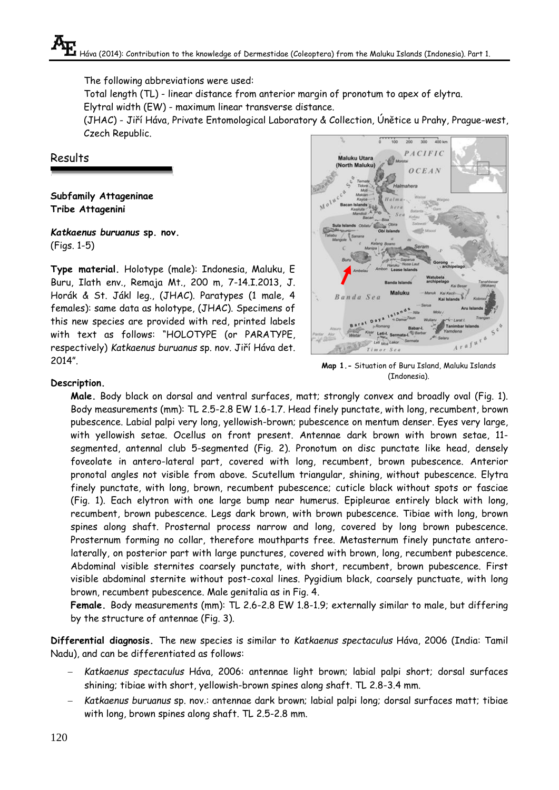The following abbreviations were used:

Total length (TL) - linear distance from anterior margin of pronotum to apex of elytra.

Elytral width (EW) - maximum linear transverse distance.

(JHAC) - Jiří Háva, Private Entomological Laboratory & Collection, Únětice u Prahy, Prague-west, Czech Republic.

Results

**Subfamily Attageninae Tribe Attagenini**

*Katkaenus buruanus* **sp. nov.** (Figs. 1-5)

**Type material.** Holotype (male): Indonesia, Maluku, E Buru, Ilath env., Remaja Mt., 200 m, 7-14.I.2013, J. Horák & St. Jákl leg., (JHAC). Paratypes (1 male, 4 females): same data as holotype, (JHAC). Specimens of this new species are provided with red, printed labels with text as follows: "HOLOTYPE (or PARATYPE, respectively) *Katkaenus buruanus* sp. nov. Jiří Háva det. 2014".



**Map 1.-** Situation of Buru Island, Maluku Islands (Indonesia).

## **Description.**

**Male.** Body black on dorsal and ventral surfaces, matt; strongly convex and broadly oval (Fig. 1). Body measurements (mm): TL 2.5-2.8 EW 1.6-1.7. Head finely punctate, with long, recumbent, brown pubescence. Labial palpi very long, yellowish-brown; pubescence on mentum denser. Eyes very large, with yellowish setae. Ocellus on front present. Antennae dark brown with brown setae, 11 segmented, antennal club 5-segmented (Fig. 2). Pronotum on disc punctate like head, densely foveolate in antero-lateral part, covered with long, recumbent, brown pubescence. Anterior pronotal angles not visible from above. Scutellum triangular, shining, without pubescence. Elytra finely punctate, with long, brown, recumbent pubescence; cuticle black without spots or fasciae (Fig. 1). Each elytron with one large bump near humerus. Epipleurae entirely black with long, recumbent, brown pubescence. Legs dark brown, with brown pubescence. Tibiae with long, brown spines along shaft. Prosternal process narrow and long, covered by long brown pubescence. Prosternum forming no collar, therefore mouthparts free. Metasternum finely punctate anterolaterally, on posterior part with large punctures, covered with brown, long, recumbent pubescence. Abdominal visible sternites coarsely punctate, with short, recumbent, brown pubescence. First visible abdominal sternite without post-coxal lines. Pygidium black, coarsely punctuate, with long brown, recumbent pubescence. Male genitalia as in Fig. 4.

**Female.** Body measurements (mm): TL 2.6-2.8 EW 1.8-1.9; externally similar to male, but differing by the structure of antennae (Fig. 3).

**Differential diagnosis.** The new species is similar to *Katkaenus spectaculus* Háva, 2006 (India: Tamil Nadu), and can be differentiated as follows:

- *Katkaenus spectaculus* Háva, 2006: antennae light brown; labial palpi short; dorsal surfaces shining; tibiae with short, yellowish-brown spines along shaft. TL 2.8-3.4 mm.
- *Katkaenus buruanus* sp. nov.: antennae dark brown; labial palpi long; dorsal surfaces matt; tibiae with long, brown spines along shaft. TL 2.5-2.8 mm.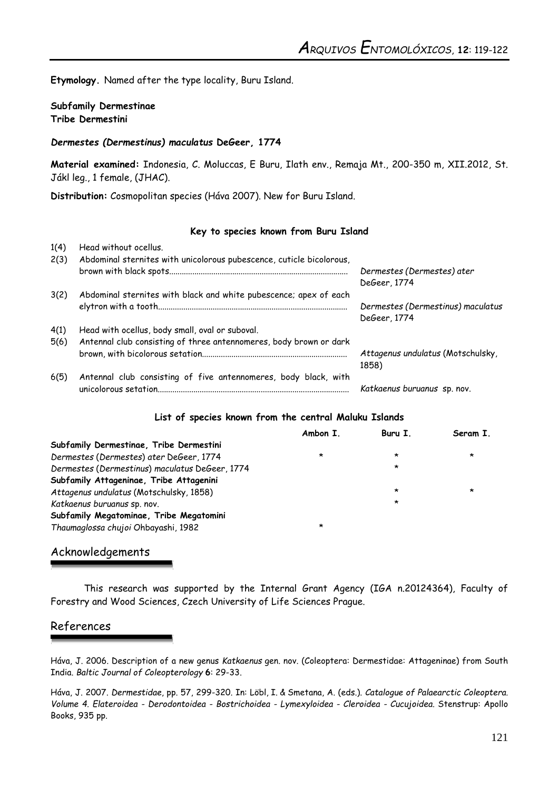**Etymology.** Named after the type locality, Buru Island.

### **Subfamily Dermestinae Tribe Dermestini**

#### *Dermestes (Dermestinus) maculatus* **DeGeer, 1774**

**Material examined:** Indonesia, C. Moluccas, E Buru, Ilath env., Remaja Mt., 200-350 m, XII.2012, St. Jákl leg., 1 female, (JHAC).

**Distribution:** Cosmopolitan species (Háva 2007). New for Buru Island.

#### **Key to species known from Buru Island**

| 1(4) | Head without ocellus.                                                |                                   |
|------|----------------------------------------------------------------------|-----------------------------------|
| 2(3) | Abdominal sternites with unicolorous pubescence, cuticle bicolorous, |                                   |
|      |                                                                      | Dermestes (Dermestes) ater        |
|      |                                                                      | DeGeer, 1774                      |
| 3(2) | Abdominal sternites with black and white pubescence; apex of each    |                                   |
|      |                                                                      | Dermestes (Dermestinus) maculatus |
|      |                                                                      | DeGeer, 1774                      |
| 4(1) | Head with ocellus, body small, oval or suboval.                      |                                   |
| 5(6) | Antennal club consisting of three antennomeres, body brown or dark   |                                   |
|      |                                                                      | Attagenus undulatus (Motschulsky, |
|      |                                                                      | 1858)                             |
| 6(5) | Antennal club consisting of five antennomeres, body black, with      |                                   |
|      |                                                                      | Katkaenus buruanus sp. nov.       |

#### **List of species known from the central Maluku Islands**

|                                                | Ambon I. | Buru I. | Seram I. |
|------------------------------------------------|----------|---------|----------|
| Subfamily Dermestinae, Tribe Dermestini        |          |         |          |
| Dermestes (Dermestes) ater DeGeer, 1774        | *        | ∗       | $\star$  |
| Dermestes (Dermestinus) maculatus DeGeer, 1774 |          | $\star$ |          |
| Subfamily Attageninae, Tribe Attagenini        |          |         |          |
| Attagenus undulatus (Motschulsky, 1858)        |          | $\star$ | *        |
| Katkaenus buruanus sp. nov.                    |          | $\star$ |          |
| Subfamily Megatominae, Tribe Megatomini        |          |         |          |
| Thaumaglossa chujoi Ohbayashi, 1982            | $\star$  |         |          |

## Acknowledgements

This research was supported by the Internal Grant Agency (IGA n.20124364), Faculty of Forestry and Wood Sciences, Czech University of Life Sciences Prague.

## References

Háva, J. 2006. Description of a new genus *Katkaenus* gen. nov. (Coleoptera: Dermestidae: Attageninae) from South India. *Baltic Journal of Coleopterology* **6**: 29-33.

Háva, J. 2007. *Dermestidae*, pp. 57, 299-320. In: Löbl, I. & Smetana, A. (eds.). *Catalogue of Palaearctic Coleoptera. Volume 4. Elateroidea - Derodontoidea - Bostrichoidea - Lymexyloidea - Cleroidea - Cucujoidea.* Stenstrup: Apollo Books, 935 pp.